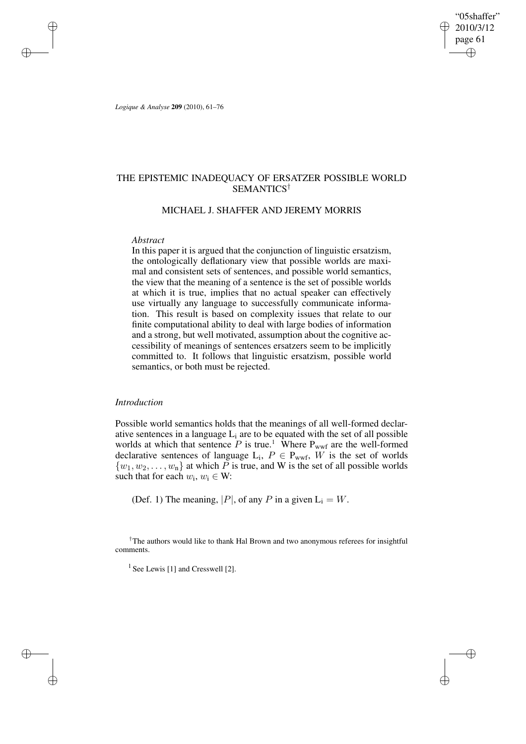"05shaffer" 2010/3/12 page 61 ✐ ✐

✐

✐

*Logique & Analyse* **209** (2010), 61–76

✐

✐

✐

✐

# THE EPISTEMIC INADEQUACY OF ERSATZER POSSIBLE WORLD SEMANTICS†

## MICHAEL J. SHAFFER AND JEREMY MORRIS

#### *Abstract*

In this paper it is argued that the conjunction of linguistic ersatzism, the ontologically deflationary view that possible worlds are maximal and consistent sets of sentences, and possible world semantics, the view that the meaning of a sentence is the set of possible worlds at which it is true, implies that no actual speaker can effectively use virtually any language to successfully communicate information. This result is based on complexity issues that relate to our finite computational ability to deal with large bodies of information and a strong, but well motivated, assumption about the cognitive accessibility of meanings of sentences ersatzers seem to be implicitly committed to. It follows that linguistic ersatzism, possible world semantics, or both must be rejected.

# *Introduction*

Possible world semantics holds that the meanings of all well-formed declarative sentences in a language  $L_i$  are to be equated with the set of all possible worlds at which that sentence  $P$  is true.<sup>1</sup> Where  $P_{wwf}$  are the well-formed declarative sentences of language  $L_i$ ,  $P \in P_{wwf}$ , W is the set of worlds  $\{w_1, w_2, \ldots, w_n\}$  at which P is true, and W is the set of all possible worlds such that for each  $w_i, w_i \in W$ :

(Def. 1) The meaning,  $|P|$ , of any P in a given  $L_i = W$ .

†The authors would like to thank Hal Brown and two anonymous referees for insightful comments.

<sup>1</sup> See Lewis [1] and Cresswell [2].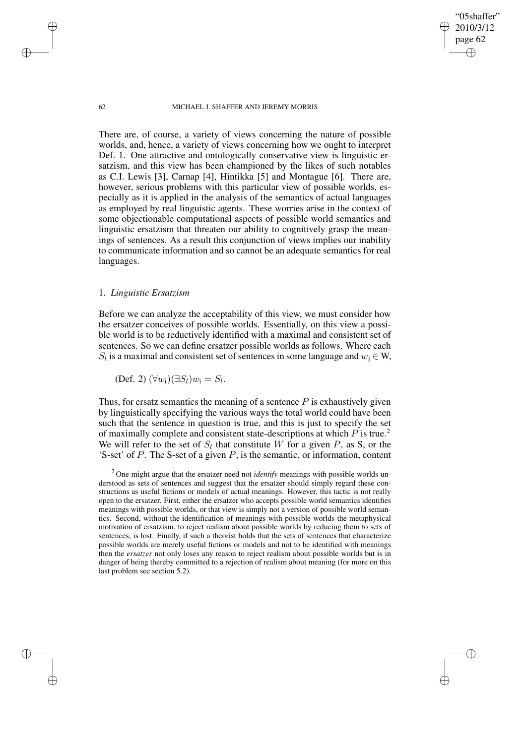"05shaffer" 2010/3/12 page 62

✐

✐

✐

✐

There are, of course, a variety of views concerning the nature of possible worlds, and, hence, a variety of views concerning how we ought to interpret Def. 1. One attractive and ontologically conservative view is linguistic ersatzism, and this view has been championed by the likes of such notables as C.I. Lewis [3], Carnap [4], Hintikka [5] and Montague [6]. There are, however, serious problems with this particular view of possible worlds, especially as it is applied in the analysis of the semantics of actual languages as employed by real linguistic agents. These worries arise in the context of some objectionable computational aspects of possible world semantics and linguistic ersatzism that threaten our ability to cognitively grasp the meanings of sentences. As a result this conjunction of views implies our inability to communicate information and so cannot be an adequate semantics for real languages.

## 1. *Linguistic Ersatzism*

Before we can analyze the acceptability of this view, we must consider how the ersatzer conceives of possible worlds. Essentially, on this view a possible world is to be reductively identified with a maximal and consistent set of sentences. So we can define ersatzer possible worlds as follows. Where each  $S_l$  is a maximal and consistent set of sentences in some language and  $w_j \in W$ ,

(Def. 2)  $(\forall w_i)(\exists S_l) w_i = S_l$ .

Thus, for ersatz semantics the meaning of a sentence  $P$  is exhaustively given by linguistically specifying the various ways the total world could have been such that the sentence in question is true, and this is just to specify the set of maximally complete and consistent state-descriptions at which  $P$  is true.<sup>2</sup> We will refer to the set of  $S_l$  that constitute W for a given P, as S, or the 'S-set' of  $P$ . The S-set of a given  $P$ , is the semantic, or information, content

✐

✐

✐

<sup>2</sup> One might argue that the ersatzer need not *identify* meanings with possible worlds understood as sets of sentences and suggest that the ersatzer should simply regard these constructions as useful fictions or models of actual meanings. However, this tactic is not really open to the ersatzer. First, either the ersatzer who accepts possible world semantics identifies meanings with possible worlds, or that view is simply not a version of possible world semantics. Second, without the identification of meanings with possible worlds the metaphysical motivation of ersatzism, to reject realism about possible worlds by reducing them to sets of sentences, is lost. Finally, if such a theorist holds that the sets of sentences that characterize possible worlds are merely useful fictions or models and not to be identified with meanings then the *ersatzer* not only loses any reason to reject realism about possible worlds but is in danger of being thereby committed to a rejection of realism about meaning (for more on this last problem see section 5.2).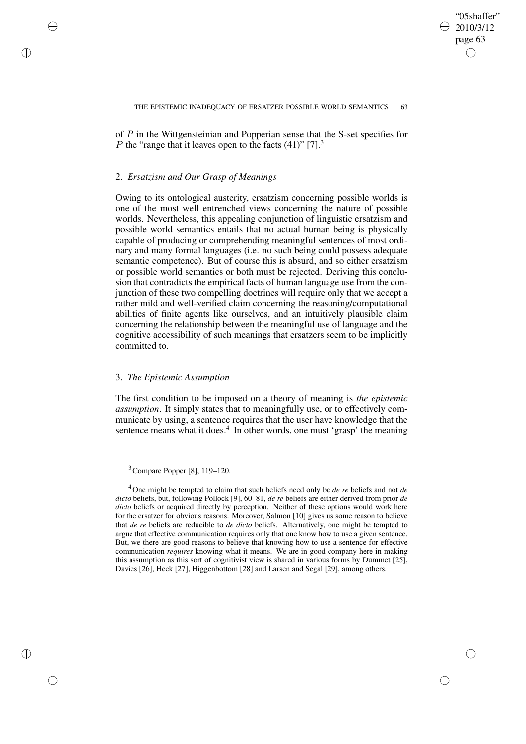✐

of P in the Wittgensteinian and Popperian sense that the S-set specifies for P the "range that it leaves open to the facts  $(41)$ " [7].<sup>3</sup>

## 2. *Ersatzism and Our Grasp of Meanings*

✐

✐

✐

✐

Owing to its ontological austerity, ersatzism concerning possible worlds is one of the most well entrenched views concerning the nature of possible worlds. Nevertheless, this appealing conjunction of linguistic ersatzism and possible world semantics entails that no actual human being is physically capable of producing or comprehending meaningful sentences of most ordinary and many formal languages (i.e. no such being could possess adequate semantic competence). But of course this is absurd, and so either ersatzism or possible world semantics or both must be rejected. Deriving this conclusion that contradicts the empirical facts of human language use from the conjunction of these two compelling doctrines will require only that we accept a rather mild and well-verified claim concerning the reasoning/computational abilities of finite agents like ourselves, and an intuitively plausible claim concerning the relationship between the meaningful use of language and the cognitive accessibility of such meanings that ersatzers seem to be implicitly committed to.

## 3. *The Epistemic Assumption*

The first condition to be imposed on a theory of meaning is *the epistemic assumption*. It simply states that to meaningfully use, or to effectively communicate by using, a sentence requires that the user have knowledge that the sentence means what it does.<sup>4</sup> In other words, one must 'grasp' the meaning

<sup>3</sup> Compare Popper [8], 119–120.

<sup>4</sup> One might be tempted to claim that such beliefs need only be *de re* beliefs and not *de dicto* beliefs, but, following Pollock [9], 60–81, *de re* beliefs are either derived from prior *de dicto* beliefs or acquired directly by perception. Neither of these options would work here for the ersatzer for obvious reasons. Moreover, Salmon [10] gives us some reason to believe that *de re* beliefs are reducible to *de dicto* beliefs. Alternatively, one might be tempted to argue that effective communication requires only that one know how to use a given sentence. But, we there are good reasons to believe that knowing how to use a sentence for effective communication *requires* knowing what it means. We are in good company here in making this assumption as this sort of cognitivist view is shared in various forms by Dummet [25], Davies [26], Heck [27], Higgenbottom [28] and Larsen and Segal [29], among others.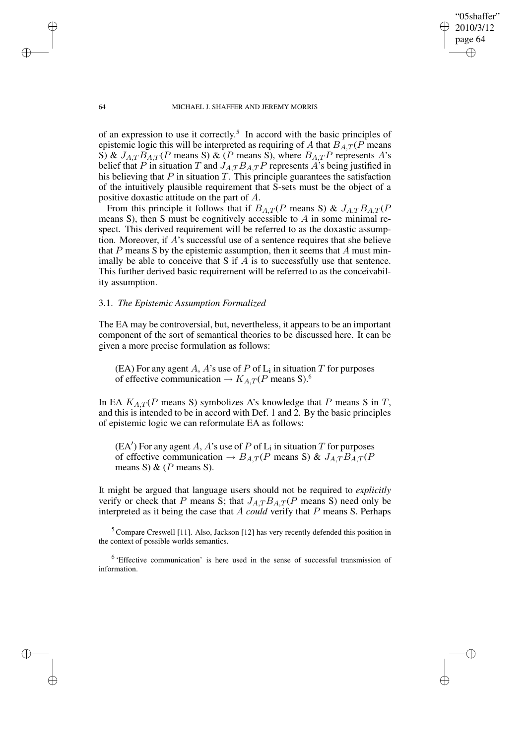"05shaffer" 2010/3/12 page 64 ✐ ✐

✐

✐

#### 64 MICHAEL J. SHAFFER AND JEREMY MORRIS

of an expression to use it correctly. 5 In accord with the basic principles of epistemic logic this will be interpreted as requiring of A that  $B_{AT}$  (P means S) &  $J_{A,T}B_{A,T}(P$  means S) & (P means S), where  $B_{A,T}P$  represents A's belief that P in situation T and  $J_{A,T}B_{A,T}P$  represents A's being justified in his believing that  $P$  in situation  $T$ . This principle guarantees the satisfaction of the intuitively plausible requirement that S-sets must be the object of a positive doxastic attitude on the part of A.

From this principle it follows that if  $B_{A,T}(P)$  means S) &  $J_{A,T}B_{A,T}(P)$ means S), then S must be cognitively accessible to  $A$  in some minimal respect. This derived requirement will be referred to as the doxastic assumption. Moreover, if  $A$ 's successful use of a sentence requires that she believe that P means S by the epistemic assumption, then it seems that A must minimally be able to conceive that S if  $A$  is to successfully use that sentence. This further derived basic requirement will be referred to as the conceivability assumption.

## 3.1. *The Epistemic Assumption Formalized*

The EA may be controversial, but, nevertheless, it appears to be an important component of the sort of semantical theories to be discussed here. It can be given a more precise formulation as follows:

(EA) For any agent A, A's use of P of  $L_i$  in situation T for purposes of effective communication  $\rightarrow K_{A,T}(P)$  means S).<sup>6</sup>

In EA  $K_{A,T}(P$  means S) symbolizes A's knowledge that P means S in T, and this is intended to be in accord with Def. 1 and 2. By the basic principles of epistemic logic we can reformulate EA as follows:

 $(EA')$  For any agent A, A's use of P of  $L_i$  in situation T for purposes of effective communication  $\rightarrow$   $B_{A,T}(P$  means S) &  $J_{A,T}B_{A,T}(P)$ means S) &  $(P$  means S).

It might be argued that language users should not be required to *explicitly* verify or check that P means S; that  $J_{A,T}B_{A,T}(P)$  means S) need only be interpreted as it being the case that A *could* verify that P means S. Perhaps

 $5$  Compare Creswell [11]. Also, Jackson [12] has very recently defended this position in the context of possible worlds semantics.

<sup>6</sup> 'Effective communication' is here used in the sense of successful transmission of information.

✐

✐

✐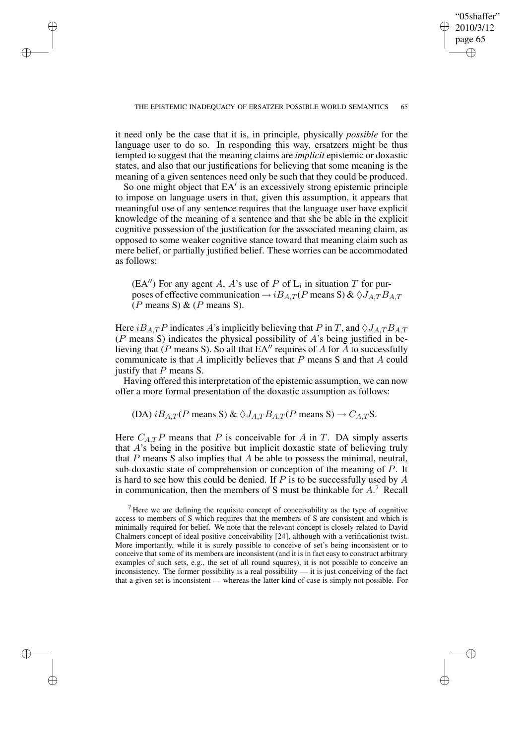"05shaffer" 2010/3/12 page 65 ✐ ✐

✐

✐

✐

✐

✐

✐

it need only be the case that it is, in principle, physically *possible* for the language user to do so. In responding this way, ersatzers might be thus tempted to suggest that the meaning claims are *implicit* epistemic or doxastic states, and also that our justifications for believing that some meaning is the meaning of a given sentences need only be such that they could be produced.

So one might object that EA' is an excessively strong epistemic principle to impose on language users in that, given this assumption, it appears that meaningful use of any sentence requires that the language user have explicit knowledge of the meaning of a sentence and that she be able in the explicit cognitive possession of the justification for the associated meaning claim, as opposed to some weaker cognitive stance toward that meaning claim such as mere belief, or partially justified belief. These worries can be accommodated as follows:

(EA") For any agent A, A's use of P of  $L_i$  in situation T for purposes of effective communication  $\rightarrow iB_{A,T}(P$  means S) &  $\Diamond J_{A,T}B_{A,T}$  $(P \text{ means } S) \& (P \text{ means } S).$ 

Here  $iB_{A,T}P$  indicates A's implicitly believing that P in T, and  $\Diamond J_{A,T}B_{A,T}$ ( $P$  means S) indicates the physical possibility of  $A$ 's being justified in believing that (P means S). So all that  $EA''$  requires of A for A to successfully communicate is that  $A$  implicitly believes that  $P$  means  $S$  and that  $A$  could justify that  $P$  means  $S$ .

Having offered this interpretation of the epistemic assumption, we can now offer a more formal presentation of the doxastic assumption as follows:

(DA)  $iB_{A,T}(P$  means S) &  $\Diamond J_{A,T}B_{A,T}(P$  means S)  $\rightarrow$   $C_{A,T}$ S.

Here  $C_{A,T}P$  means that P is conceivable for A in T. DA simply asserts that A's being in the positive but implicit doxastic state of believing truly that  $P$  means  $S$  also implies that  $A$  be able to possess the minimal, neutral, sub-doxastic state of comprehension or conception of the meaning of P. It is hard to see how this could be denied. If  $P$  is to be successfully used by  $A$ in communication, then the members of S must be thinkable for  $A$ .<sup>7</sup> Recall

 $<sup>7</sup>$  Here we are defining the requisite concept of conceivability as the type of cognitive</sup> access to members of S which requires that the members of S are consistent and which is minimally required for belief. We note that the relevant concept is closely related to David Chalmers concept of ideal positive conceivability [24], although with a verificationist twist. More importantly, while it is surely possible to conceive of set's being inconsistent or to conceive that some of its members are inconsistent (and it is in fact easy to construct arbitrary examples of such sets, e.g., the set of all round squares), it is not possible to conceive an inconsistency. The former possibility is a real possibility — it is just conceiving of the fact that a given set is inconsistent — whereas the latter kind of case is simply not possible. For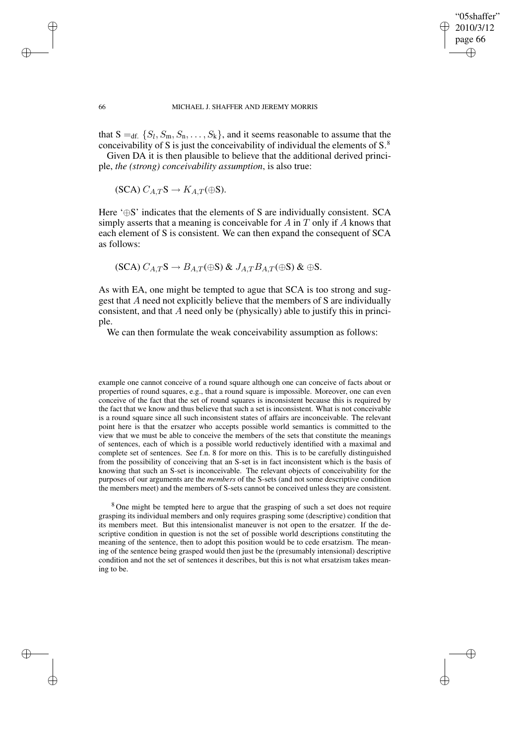✐

#### 66 MICHAEL J. SHAFFER AND JEREMY MORRIS

that  $S =_{df.} \{S_l, S_m, S_n, \ldots, S_k\}$ , and it seems reasonable to assume that the conceivability of S is just the conceivability of individual the elements of  $S^8$ .

Given DA it is then plausible to believe that the additional derived principle, *the (strong) conceivability assumption*, is also true:

$$
(SCA) C_{A,T}S \to K_{A,T}(\oplus S).
$$

✐

✐

✐

✐

Here '⊕S' indicates that the elements of S are individually consistent. SCA simply asserts that a meaning is conceivable for A in T only if A knows that each element of S is consistent. We can then expand the consequent of SCA as follows:

$$
(\text{SCA})\ C_{A,T}\text{S} \to B_{A,T}(\oplus \text{S}) \& J_{A,T}B_{A,T}(\oplus \text{S}) \& \oplus \text{S}.
$$

As with EA, one might be tempted to ague that SCA is too strong and suggest that A need not explicitly believe that the members of S are individually consistent, and that A need only be (physically) able to justify this in principle.

We can then formulate the weak conceivability assumption as follows:

example one cannot conceive of a round square although one can conceive of facts about or properties of round squares, e.g., that a round square is impossible. Moreover, one can even conceive of the fact that the set of round squares is inconsistent because this is required by the fact that we know and thus believe that such a set is inconsistent. What is not conceivable is a round square since all such inconsistent states of affairs are inconceivable. The relevant point here is that the ersatzer who accepts possible world semantics is committed to the view that we must be able to conceive the members of the sets that constitute the meanings of sentences, each of which is a possible world reductively identified with a maximal and complete set of sentences. See f.n. 8 for more on this. This is to be carefully distinguished from the possibility of conceiving that an S-set is in fact inconsistent which is the basis of knowing that such an S-set is inconceivable. The relevant objects of conceivability for the purposes of our arguments are the *members* of the S-sets (and not some descriptive condition the members meet) and the members of S-sets cannot be conceived unless they are consistent.

<sup>8</sup> One might be tempted here to argue that the grasping of such a set does not require grasping its individual members and only requires grasping some (descriptive) condition that its members meet. But this intensionalist maneuver is not open to the ersatzer. If the descriptive condition in question is not the set of possible world descriptions constituting the meaning of the sentence, then to adopt this position would be to cede ersatzism. The meaning of the sentence being grasped would then just be the (presumably intensional) descriptive condition and not the set of sentences it describes, but this is not what ersatzism takes meaning to be.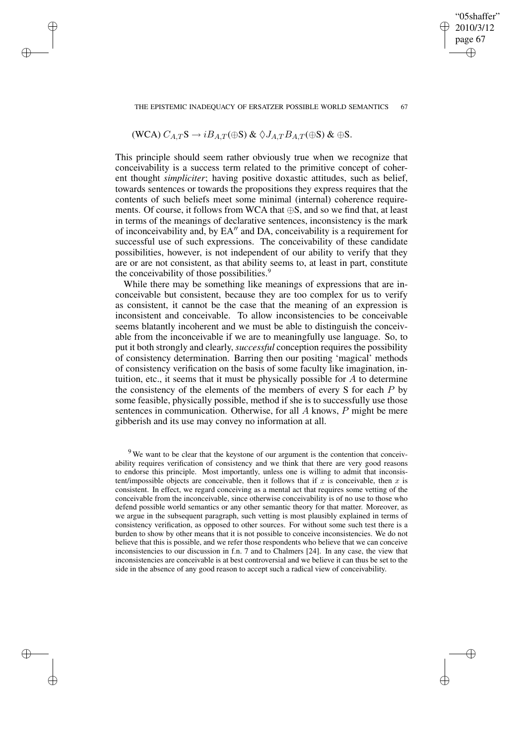#### THE EPISTEMIC INADEQUACY OF ERSATZER POSSIBLE WORLD SEMANTICS 67

"05shaffer" 2010/3/12 page 67

✐

✐

✐

✐

(WCA) 
$$
C_{A,T}S \rightarrow iB_{A,T}(\oplus S)
$$
 &  $\diamondsuit J_{A,T}B_{A,T}(\oplus S)$  &  $\oplus S$ .

✐

✐

✐

✐

This principle should seem rather obviously true when we recognize that conceivability is a success term related to the primitive concept of coherent thought *simpliciter*; having positive doxastic attitudes, such as belief, towards sentences or towards the propositions they express requires that the contents of such beliefs meet some minimal (internal) coherence requirements. Of course, it follows from WCA that  $\oplus$ S, and so we find that, at least in terms of the meanings of declarative sentences, inconsistency is the mark of inconceivability and, by EA" and DA, conceivability is a requirement for successful use of such expressions. The conceivability of these candidate possibilities, however, is not independent of our ability to verify that they are or are not consistent, as that ability seems to, at least in part, constitute the conceivability of those possibilities.<sup>9</sup>

While there may be something like meanings of expressions that are inconceivable but consistent, because they are too complex for us to verify as consistent, it cannot be the case that the meaning of an expression is inconsistent and conceivable. To allow inconsistencies to be conceivable seems blatantly incoherent and we must be able to distinguish the conceivable from the inconceivable if we are to meaningfully use language. So, to put it both strongly and clearly, *successful* conception requires the possibility of consistency determination. Barring then our positing 'magical' methods of consistency verification on the basis of some faculty like imagination, intuition, etc., it seems that it must be physically possible for  $A$  to determine the consistency of the elements of the members of every  $S$  for each  $P$  by some feasible, physically possible, method if she is to successfully use those sentences in communication. Otherwise, for all A knows, P might be mere gibberish and its use may convey no information at all.

 $9$ We want to be clear that the keystone of our argument is the contention that conceivability requires verification of consistency and we think that there are very good reasons to endorse this principle. Most importantly, unless one is willing to admit that inconsistent/impossible objects are conceivable, then it follows that if x is conceivable, then x is consistent. In effect, we regard conceiving as a mental act that requires some vetting of the conceivable from the inconceivable, since otherwise conceivability is of no use to those who defend possible world semantics or any other semantic theory for that matter. Moreover, as we argue in the subsequent paragraph, such vetting is most plausibly explained in terms of consistency verification, as opposed to other sources. For without some such test there is a burden to show by other means that it is not possible to conceive inconsistencies. We do not believe that this is possible, and we refer those respondents who believe that we can conceive inconsistencies to our discussion in f.n. 7 and to Chalmers [24]. In any case, the view that inconsistencies are conceivable is at best controversial and we believe it can thus be set to the side in the absence of any good reason to accept such a radical view of conceivability.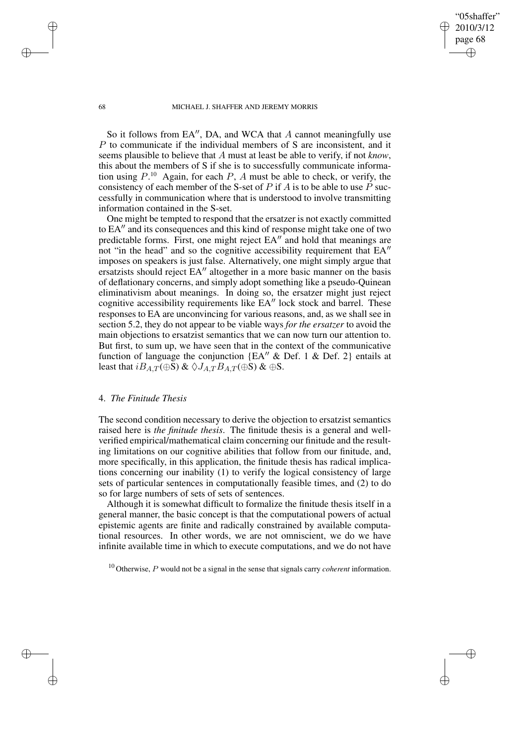"05shaffer" 2010/3/12 page 68

✐

✐

✐

✐

So it follows from EA", DA, and WCA that  $A$  cannot meaningfully use P to communicate if the individual members of S are inconsistent, and it seems plausible to believe that A must at least be able to verify, if not *know*, this about the members of S if she is to successfully communicate information using  $P^{10}$ . Again, for each  $P$ , A must be able to check, or verify, the consistency of each member of the S-set of  $P$  if  $A$  is to be able to use  $\overline{P}$  successfully in communication where that is understood to involve transmitting information contained in the S-set.

One might be tempted to respond that the ersatzer is not exactly committed to EA" and its consequences and this kind of response might take one of two predictable forms. First, one might reject  $EA''$  and hold that meanings are not "in the head" and so the cognitive accessibility requirement that  $EA''$ imposes on speakers is just false. Alternatively, one might simply argue that ersatzists should reject EA<sup>"</sup> altogether in a more basic manner on the basis of deflationary concerns, and simply adopt something like a pseudo-Quinean eliminativism about meanings. In doing so, the ersatzer might just reject cognitive accessibility requirements like EA" lock stock and barrel. These responses to EA are unconvincing for various reasons, and, as we shall see in section 5.2, they do not appear to be viable ways *for the ersatzer* to avoid the main objections to ersatzist semantics that we can now turn our attention to. But first, to sum up, we have seen that in the context of the communicative function of language the conjunction  ${EA'' \& Def. 1 \& Def. 2}$  entails at least that  $iB_{A,T}(\oplus S)$  &  $\Diamond J_{A,T}B_{A,T}(\oplus S)$  &  $\oplus S$ .

### 4. *The Finitude Thesis*

The second condition necessary to derive the objection to ersatzist semantics raised here is *the finitude thesis*. The finitude thesis is a general and wellverified empirical/mathematical claim concerning our finitude and the resulting limitations on our cognitive abilities that follow from our finitude, and, more specifically, in this application, the finitude thesis has radical implications concerning our inability (1) to verify the logical consistency of large sets of particular sentences in computationally feasible times, and (2) to do so for large numbers of sets of sets of sentences.

Although it is somewhat difficult to formalize the finitude thesis itself in a general manner, the basic concept is that the computational powers of actual epistemic agents are finite and radically constrained by available computational resources. In other words, we are not omniscient, we do we have infinite available time in which to execute computations, and we do not have

✐

✐

✐

<sup>10</sup> Otherwise, P would not be a signal in the sense that signals carry *coherent* information.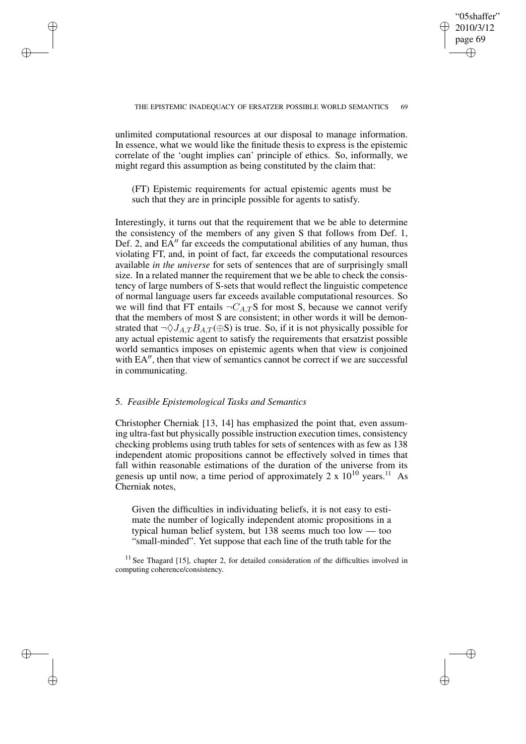✐

unlimited computational resources at our disposal to manage information. In essence, what we would like the finitude thesis to express is the epistemic correlate of the 'ought implies can' principle of ethics. So, informally, we might regard this assumption as being constituted by the claim that:

✐

✐

✐

✐

(FT) Epistemic requirements for actual epistemic agents must be such that they are in principle possible for agents to satisfy.

Interestingly, it turns out that the requirement that we be able to determine the consistency of the members of any given S that follows from Def. 1, Def. 2, and  $EA''$  far exceeds the computational abilities of any human, thus violating FT, and, in point of fact, far exceeds the computational resources available *in the universe* for sets of sentences that are of surprisingly small size. In a related manner the requirement that we be able to check the consistency of large numbers of S-sets that would reflect the linguistic competence of normal language users far exceeds available computational resources. So we will find that FT entails  $\neg C_{A,T}S$  for most S, because we cannot verify that the members of most S are consistent; in other words it will be demonstrated that  $\neg \Diamond J_{A,T} B_{A,T} (\oplus S)$  is true. So, if it is not physically possible for any actual epistemic agent to satisfy the requirements that ersatzist possible world semantics imposes on epistemic agents when that view is conjoined with EA", then that view of semantics cannot be correct if we are successful in communicating.

## 5. *Feasible Epistemological Tasks and Semantics*

Christopher Cherniak [13, 14] has emphasized the point that, even assuming ultra-fast but physically possible instruction execution times, consistency checking problems using truth tables for sets of sentences with as few as 138 independent atomic propositions cannot be effectively solved in times that fall within reasonable estimations of the duration of the universe from its genesis up until now, a time period of approximately  $2 \times 10^{10}$  years.<sup>11</sup> As Cherniak notes,

Given the difficulties in individuating beliefs, it is not easy to estimate the number of logically independent atomic propositions in a typical human belief system, but 138 seems much too low — too "small-minded". Yet suppose that each line of the truth table for the

 $11$  See Thagard [15], chapter 2, for detailed consideration of the difficulties involved in computing coherence/consistency.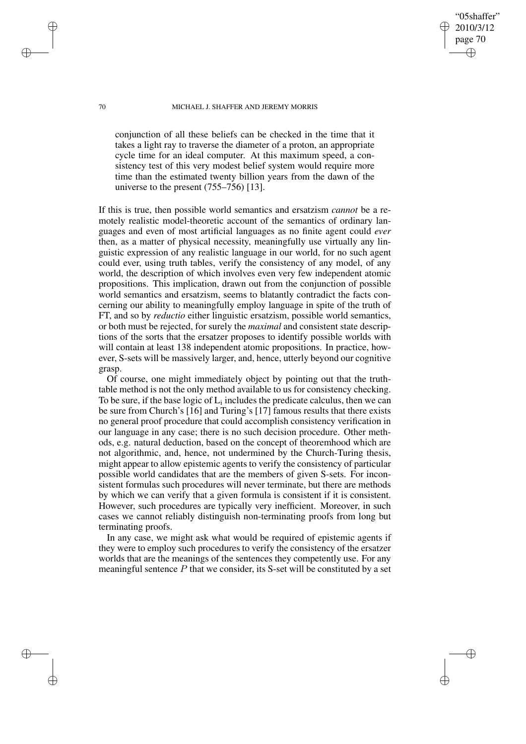"05shaffer" 2010/3/12 page 70

✐

✐

✐

✐

conjunction of all these beliefs can be checked in the time that it takes a light ray to traverse the diameter of a proton, an appropriate cycle time for an ideal computer. At this maximum speed, a consistency test of this very modest belief system would require more time than the estimated twenty billion years from the dawn of the universe to the present (755–756) [13].

If this is true, then possible world semantics and ersatzism *cannot* be a remotely realistic model-theoretic account of the semantics of ordinary languages and even of most artificial languages as no finite agent could *ever* then, as a matter of physical necessity, meaningfully use virtually any linguistic expression of any realistic language in our world, for no such agent could ever, using truth tables, verify the consistency of any model, of any world, the description of which involves even very few independent atomic propositions. This implication, drawn out from the conjunction of possible world semantics and ersatzism, seems to blatantly contradict the facts concerning our ability to meaningfully employ language in spite of the truth of FT, and so by *reductio* either linguistic ersatzism, possible world semantics, or both must be rejected, for surely the *maximal* and consistent state descriptions of the sorts that the ersatzer proposes to identify possible worlds with will contain at least 138 independent atomic propositions. In practice, however, S-sets will be massively larger, and, hence, utterly beyond our cognitive grasp.

Of course, one might immediately object by pointing out that the truthtable method is not the only method available to us for consistency checking. To be sure, if the base logic of  $L_i$  includes the predicate calculus, then we can be sure from Church's [16] and Turing's [17] famous results that there exists no general proof procedure that could accomplish consistency verification in our language in any case; there is no such decision procedure. Other methods, e.g. natural deduction, based on the concept of theoremhood which are not algorithmic, and, hence, not undermined by the Church-Turing thesis, might appear to allow epistemic agents to verify the consistency of particular possible world candidates that are the members of given S-sets. For inconsistent formulas such procedures will never terminate, but there are methods by which we can verify that a given formula is consistent if it is consistent. However, such procedures are typically very inefficient. Moreover, in such cases we cannot reliably distinguish non-terminating proofs from long but terminating proofs.

In any case, we might ask what would be required of epistemic agents if they were to employ such procedures to verify the consistency of the ersatzer worlds that are the meanings of the sentences they competently use. For any meaningful sentence  $P$  that we consider, its S-set will be constituted by a set

✐

✐

✐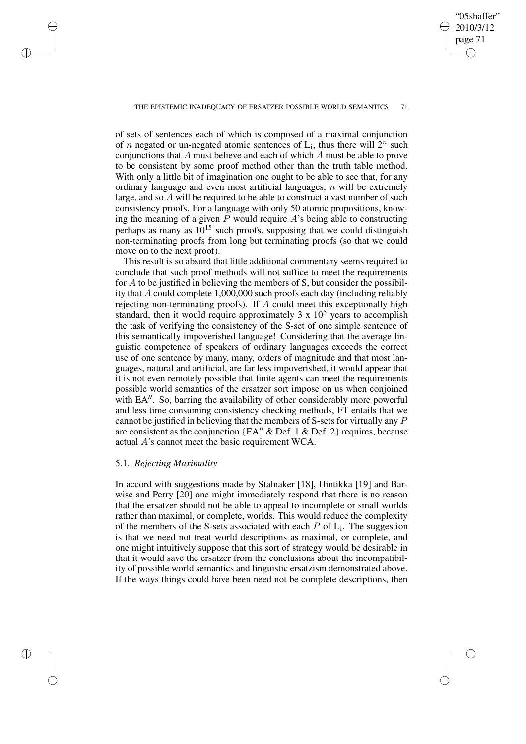✐

#### THE EPISTEMIC INADEQUACY OF ERSATZER POSSIBLE WORLD SEMANTICS 71

of sets of sentences each of which is composed of a maximal conjunction of *n* negated or un-negated atomic sentences of  $L_i$ , thus there will  $2^n$  such conjunctions that A must believe and each of which A must be able to prove to be consistent by some proof method other than the truth table method. With only a little bit of imagination one ought to be able to see that, for any ordinary language and even most artificial languages,  $n$  will be extremely large, and so A will be required to be able to construct a vast number of such consistency proofs. For a language with only 50 atomic propositions, knowing the meaning of a given  $\overline{P}$  would require  $\overline{A}$ 's being able to constructing perhaps as many as  $10^{15}$  such proofs, supposing that we could distinguish non-terminating proofs from long but terminating proofs (so that we could move on to the next proof).

This result is so absurd that little additional commentary seems required to conclude that such proof methods will not suffice to meet the requirements for A to be justified in believing the members of S, but consider the possibility that A could complete 1,000,000 such proofs each day (including reliably rejecting non-terminating proofs). If A could meet this exceptionally high standard, then it would require approximately 3 x  $10<sup>5</sup>$  years to accomplish the task of verifying the consistency of the S-set of one simple sentence of this semantically impoverished language! Considering that the average linguistic competence of speakers of ordinary languages exceeds the correct use of one sentence by many, many, orders of magnitude and that most languages, natural and artificial, are far less impoverished, it would appear that it is not even remotely possible that finite agents can meet the requirements possible world semantics of the ersatzer sort impose on us when conjoined with EA". So, barring the availability of other considerably more powerful and less time consuming consistency checking methods, FT entails that we cannot be justified in believing that the members of S-sets for virtually any P are consistent as the conjunction {EA<sup> $\prime\prime$ </sup> & Def. 1 & Def. 2} requires, because actual A's cannot meet the basic requirement WCA.

## 5.1. *Rejecting Maximality*

✐

✐

✐

✐

In accord with suggestions made by Stalnaker [18], Hintikka [19] and Barwise and Perry [20] one might immediately respond that there is no reason that the ersatzer should not be able to appeal to incomplete or small worlds rather than maximal, or complete, worlds. This would reduce the complexity of the members of the S-sets associated with each  $P$  of  $L_i$ . The suggestion is that we need not treat world descriptions as maximal, or complete, and one might intuitively suppose that this sort of strategy would be desirable in that it would save the ersatzer from the conclusions about the incompatibility of possible world semantics and linguistic ersatzism demonstrated above. If the ways things could have been need not be complete descriptions, then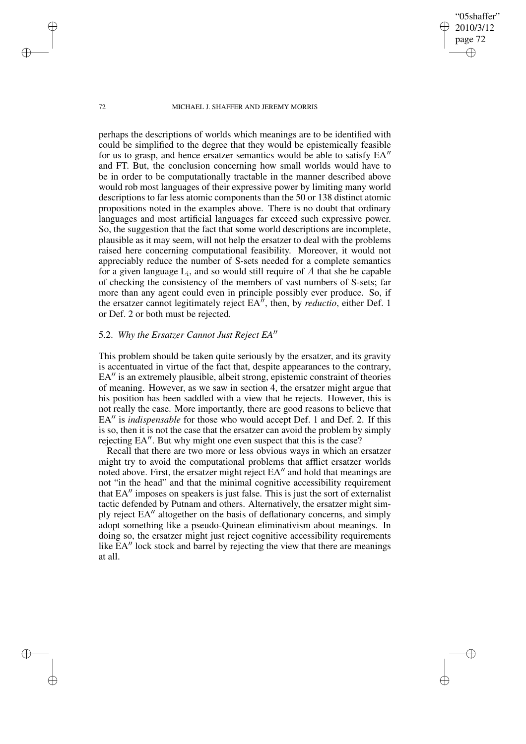"05shaffer" 2010/3/12 page 72

✐

✐

✐

✐

perhaps the descriptions of worlds which meanings are to be identified with could be simplified to the degree that they would be epistemically feasible for us to grasp, and hence ersatzer semantics would be able to satisfy  $EA''$ and FT. But, the conclusion concerning how small worlds would have to be in order to be computationally tractable in the manner described above would rob most languages of their expressive power by limiting many world descriptions to far less atomic components than the 50 or 138 distinct atomic propositions noted in the examples above. There is no doubt that ordinary languages and most artificial languages far exceed such expressive power. So, the suggestion that the fact that some world descriptions are incomplete, plausible as it may seem, will not help the ersatzer to deal with the problems raised here concerning computational feasibility. Moreover, it would not appreciably reduce the number of S-sets needed for a complete semantics for a given language  $L_i$ , and so would still require of  $A$  that she be capable of checking the consistency of the members of vast numbers of S-sets; far more than any agent could even in principle possibly ever produce. So, if the ersatzer cannot legitimately reject  $EA^{n}$ , then, by *reductio*, either Def. 1 or Def. 2 or both must be rejected.

# 5.2. Why the Ersatzer Cannot Just Reject EA"

This problem should be taken quite seriously by the ersatzer, and its gravity is accentuated in virtue of the fact that, despite appearances to the contrary,  $EA''$  is an extremely plausible, albeit strong, epistemic constraint of theories of meaning. However, as we saw in section 4, the ersatzer might argue that his position has been saddled with a view that he rejects. However, this is not really the case. More importantly, there are good reasons to believe that EA<sup> $\prime\prime$ </sup> is *indispensable* for those who would accept Def. 1 and Def. 2. If this is so, then it is not the case that the ersatzer can avoid the problem by simply rejecting EA". But why might one even suspect that this is the case?

Recall that there are two more or less obvious ways in which an ersatzer might try to avoid the computational problems that afflict ersatzer worlds noted above. First, the ersatzer might reject EA" and hold that meanings are not "in the head" and that the minimal cognitive accessibility requirement that  $EA''$  imposes on speakers is just false. This is just the sort of externalist tactic defended by Putnam and others. Alternatively, the ersatzer might simply reject EA<sup>"</sup> altogether on the basis of deflationary concerns, and simply adopt something like a pseudo-Quinean eliminativism about meanings. In doing so, the ersatzer might just reject cognitive accessibility requirements like  $EA''$  lock stock and barrel by rejecting the view that there are meanings at all.

✐

✐

✐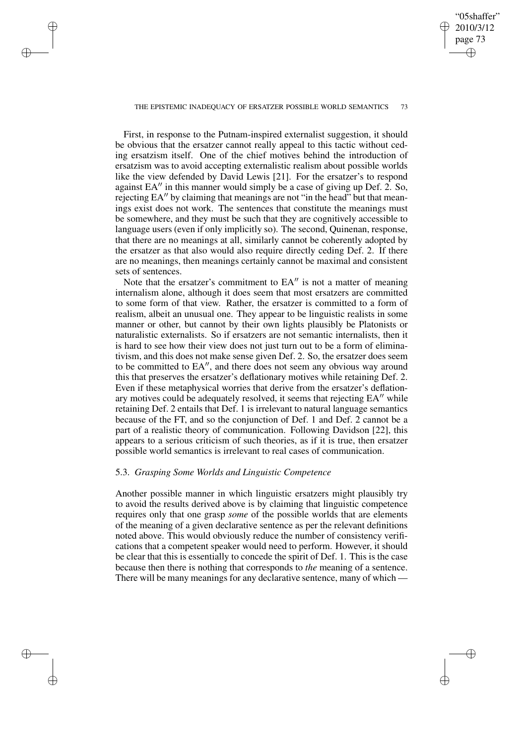## "05shaffer" 2010/3/12 page 73 ✐ ✐

✐

✐

#### THE EPISTEMIC INADEQUACY OF ERSATZER POSSIBLE WORLD SEMANTICS 73

✐

✐

✐

✐

First, in response to the Putnam-inspired externalist suggestion, it should be obvious that the ersatzer cannot really appeal to this tactic without ceding ersatzism itself. One of the chief motives behind the introduction of ersatzism was to avoid accepting externalistic realism about possible worlds like the view defended by David Lewis [21]. For the ersatzer's to respond against EA" in this manner would simply be a case of giving up Def. 2. So, rejecting EA" by claiming that meanings are not "in the head" but that meanings exist does not work. The sentences that constitute the meanings must be somewhere, and they must be such that they are cognitively accessible to language users (even if only implicitly so). The second, Quinenan, response, that there are no meanings at all, similarly cannot be coherently adopted by the ersatzer as that also would also require directly ceding Def. 2. If there are no meanings, then meanings certainly cannot be maximal and consistent sets of sentences.

Note that the ersatzer's commitment to  $EA''$  is not a matter of meaning internalism alone, although it does seem that most ersatzers are committed to some form of that view. Rather, the ersatzer is committed to a form of realism, albeit an unusual one. They appear to be linguistic realists in some manner or other, but cannot by their own lights plausibly be Platonists or naturalistic externalists. So if ersatzers are not semantic internalists, then it is hard to see how their view does not just turn out to be a form of eliminativism, and this does not make sense given Def. 2. So, the ersatzer does seem to be committed to EA", and there does not seem any obvious way around this that preserves the ersatzer's deflationary motives while retaining Def. 2. Even if these metaphysical worries that derive from the ersatzer's deflationary motives could be adequately resolved, it seems that rejecting  $EA''$  while retaining Def. 2 entails that Def. 1 is irrelevant to natural language semantics because of the FT, and so the conjunction of Def. 1 and Def. 2 cannot be a part of a realistic theory of communication. Following Davidson [22], this appears to a serious criticism of such theories, as if it is true, then ersatzer possible world semantics is irrelevant to real cases of communication.

### 5.3. *Grasping Some Worlds and Linguistic Competence*

Another possible manner in which linguistic ersatzers might plausibly try to avoid the results derived above is by claiming that linguistic competence requires only that one grasp *some* of the possible worlds that are elements of the meaning of a given declarative sentence as per the relevant definitions noted above. This would obviously reduce the number of consistency verifications that a competent speaker would need to perform. However, it should be clear that this is essentially to concede the spirit of Def. 1. This is the case because then there is nothing that corresponds to *the* meaning of a sentence. There will be many meanings for any declarative sentence, many of which —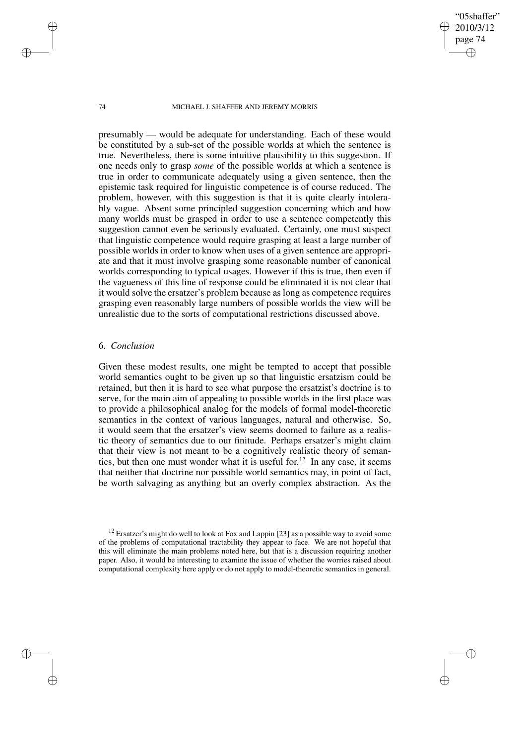"05shaffer" 2010/3/12 page 74

✐

✐

✐

✐

presumably — would be adequate for understanding. Each of these would be constituted by a sub-set of the possible worlds at which the sentence is true. Nevertheless, there is some intuitive plausibility to this suggestion. If one needs only to grasp *some* of the possible worlds at which a sentence is true in order to communicate adequately using a given sentence, then the epistemic task required for linguistic competence is of course reduced. The problem, however, with this suggestion is that it is quite clearly intolerably vague. Absent some principled suggestion concerning which and how many worlds must be grasped in order to use a sentence competently this suggestion cannot even be seriously evaluated. Certainly, one must suspect that linguistic competence would require grasping at least a large number of possible worlds in order to know when uses of a given sentence are appropriate and that it must involve grasping some reasonable number of canonical worlds corresponding to typical usages. However if this is true, then even if the vagueness of this line of response could be eliminated it is not clear that it would solve the ersatzer's problem because as long as competence requires grasping even reasonably large numbers of possible worlds the view will be unrealistic due to the sorts of computational restrictions discussed above.

## 6. *Conclusion*

Given these modest results, one might be tempted to accept that possible world semantics ought to be given up so that linguistic ersatzism could be retained, but then it is hard to see what purpose the ersatzist's doctrine is to serve, for the main aim of appealing to possible worlds in the first place was to provide a philosophical analog for the models of formal model-theoretic semantics in the context of various languages, natural and otherwise. So, it would seem that the ersatzer's view seems doomed to failure as a realistic theory of semantics due to our finitude. Perhaps ersatzer's might claim that their view is not meant to be a cognitively realistic theory of semantics, but then one must wonder what it is useful for.<sup>12</sup> In any case, it seems that neither that doctrine nor possible world semantics may, in point of fact, be worth salvaging as anything but an overly complex abstraction. As the

✐

✐

✐

 $12$  Ersatzer's might do well to look at Fox and Lappin [23] as a possible way to avoid some of the problems of computational tractability they appear to face. We are not hopeful that this will eliminate the main problems noted here, but that is a discussion requiring another paper. Also, it would be interesting to examine the issue of whether the worries raised about computational complexity here apply or do not apply to model-theoretic semantics in general.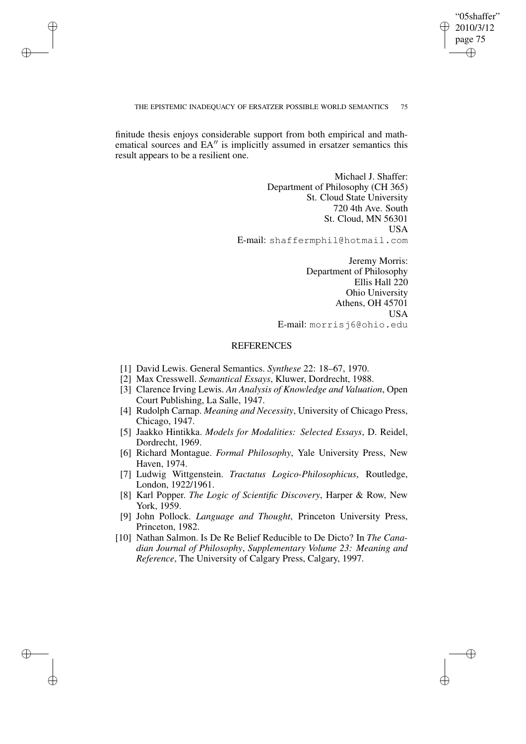## "05shaffer" 2010/3/12 page 75 ✐ ✐

✐

✐

#### THE EPISTEMIC INADEQUACY OF ERSATZER POSSIBLE WORLD SEMANTICS 75

finitude thesis enjoys considerable support from both empirical and mathematical sources and  $EA''$  is implicitly assumed in ersatzer semantics this result appears to be a resilient one.

✐

✐

✐

✐

Michael J. Shaffer: Department of Philosophy (CH 365) St. Cloud State University 720 4th Ave. South St. Cloud, MN 56301 USA E-mail: shaffermphil@hotmail.com

> Jeremy Morris: Department of Philosophy Ellis Hall 220 Ohio University Athens, OH 45701 USA E-mail: morrisj6@ohio.edu

# **REFERENCES**

- [1] David Lewis. General Semantics. *Synthese* 22: 18–67, 1970.
- [2] Max Cresswell. *Semantical Essays*, Kluwer, Dordrecht, 1988.
- [3] Clarence Irving Lewis. *An Analysis of Knowledge and Valuation*, Open Court Publishing, La Salle, 1947.
- [4] Rudolph Carnap. *Meaning and Necessity*, University of Chicago Press, Chicago, 1947.
- [5] Jaakko Hintikka. *Models for Modalities: Selected Essays*, D. Reidel, Dordrecht, 1969.
- [6] Richard Montague. *Formal Philosophy*, Yale University Press, New Haven, 1974.
- [7] Ludwig Wittgenstein. *Tractatus Logico-Philosophicus*, Routledge, London, 1922/1961.
- [8] Karl Popper. *The Logic of Scientific Discovery*, Harper & Row, New York, 1959.
- [9] John Pollock. *Language and Thought*, Princeton University Press, Princeton, 1982.
- [10] Nathan Salmon. Is De Re Belief Reducible to De Dicto? In *The Canadian Journal of Philosophy*, *Supplementary Volume 23: Meaning and Reference*, The University of Calgary Press, Calgary, 1997.